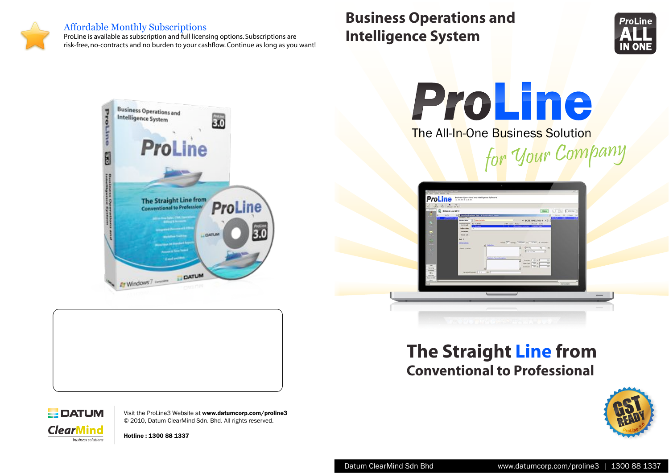#### **Affordable Monthly Subscriptions**

ProLine is available as subscription and full licensing options. Subscriptions are risk-free, no-contracts and no burden to your cashflow. Continue as long as you want!

# **Business Operations and Intelligence System**







**The All-In-One Business Solution** 



| Seed.<br>ď                                                         | $21.44 \times 10^{-3}$<br>Orders in Jan 2010<br>Dan Not<br>Col & Consultor Treatment Deby   BCR7/0942/064 HT                                                                 |                                                                      | Finder<br>Seven W. Elida Dr.<br>УI                                                                               |  |
|--------------------------------------------------------------------|------------------------------------------------------------------------------------------------------------------------------------------------------------------------------|----------------------------------------------------------------------|------------------------------------------------------------------------------------------------------------------|--|
| Q<br><b>TOP</b>                                                    | <b>ROTTEGADOCO</b><br><b>Genetiats</b> View<br><b>John Visikon</b><br>Order Sets<br>×<br>Set 1the<br><b>Red Details</b><br><b>Registration</b><br>Deferrables<br><b>TELE</b> | <b>STAR START Ported</b>                                             | ۰<br><b>Tara</b><br>$=$ BCRT/0912/001-0 $\rightarrow$ $\rightarrow$<br><b>Associat</b> States<br>the Canal Steel |  |
| c<br>m                                                             | <b>Work Plaz</b><br>Clearal Jules<br>Set 1                                                                                                                                   |                                                                      |                                                                                                                  |  |
| 52                                                                 | <b>Drive Advise</b><br>of Intuites<br>Circle 5 Dr interest                                                                                                                   | These E.C. norther ETATION to LINERAL IP formulation<br>$+$ (small)  | $-2$ $+1$ $+10$                                                                                                  |  |
| ò                                                                  |                                                                                                                                                                              | Firm service<br>hammillener feieren.                                 | Ы                                                                                                                |  |
| <b>Sales</b><br>Smeng                                              | 可                                                                                                                                                                            | AMMI [48 %]<br>⋾<br>Dealer Ford: COD No.<br>General TVW NT<br>$\sim$ | $+14$<br>1.01<br>$\overline{16}$                                                                                 |  |
| <b>Purchasing</b><br><b>Hing</b><br>Annivirty<br><b>Tod Cardid</b> |                                                                                                                                                                              |                                                                      |                                                                                                                  |  |
| Advert<br>$\overline{\phantom{a}}$                                 |                                                                                                                                                                              |                                                                      | Administrator                                                                                                    |  |
|                                                                    |                                                                                                                                                                              |                                                                      |                                                                                                                  |  |

# The Straight Line from **Conventional to Professional**





Visit the ProLine3 Website at www.datumcorp.com/proline3 © 2010, Datum ClearMind Sdn. Bhd. All rights reserved.

Hotline: 1300 88 1337